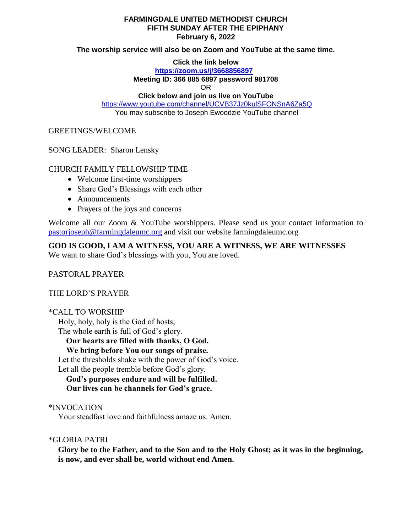### **FARMINGDALE UNITED METHODIST CHURCH FIFTH SUNDAY AFTER THE EPIPHANY February 6, 2022**

**The worship service will also be on Zoom and YouTube at the same time.**

**Click the link below**

**<https://zoom.us/j/3668856897>**

**Meeting ID: 366 885 6897 password 981708**

OR

**Click below and join us live on YouTube** 

<https://www.youtube.com/channel/UCVB37Jz0kulSFONSnA6Za5Q> You may subscribe to Joseph Ewoodzie YouTube channel

GREETINGS/WELCOME

SONG LEADER: Sharon Lensky

# CHURCH FAMILY FELLOWSHIP TIME

- Welcome first-time worshippers
- Share God's Blessings with each other
- Announcements
- Prayers of the joys and concerns

Welcome all our Zoom & YouTube worshippers. Please send us your contact information to [pastorjoseph@farmingdaleumc.org](mailto:pastorjoseph@farmingdaleumc.org) and visit our website farmingdaleumc.org

**GOD IS GOOD, I AM A WITNESS, YOU ARE A WITNESS, WE ARE WITNESSES**

We want to share God's blessings with you, You are loved.

PASTORAL PRAYER

THE LORD'S PRAYER

\*CALL TO WORSHIP

Holy, holy, holy is the God of hosts; The whole earth is full of God's glory.

**Our hearts are filled with thanks, O God.**

 **We bring before You our songs of praise.**

Let the thresholds shake with the power of God's voice.

Let all the people tremble before God's glory.

 **God's purposes endure and will be fulfilled. Our lives can be channels for God's grace.**

\*INVOCATION

Your steadfast love and faithfulness amaze us. Amen.

\*GLORIA PATRI

**Glory be to the Father, and to the Son and to the Holy Ghost; as it was in the beginning, is now, and ever shall be, world without end Amen.**